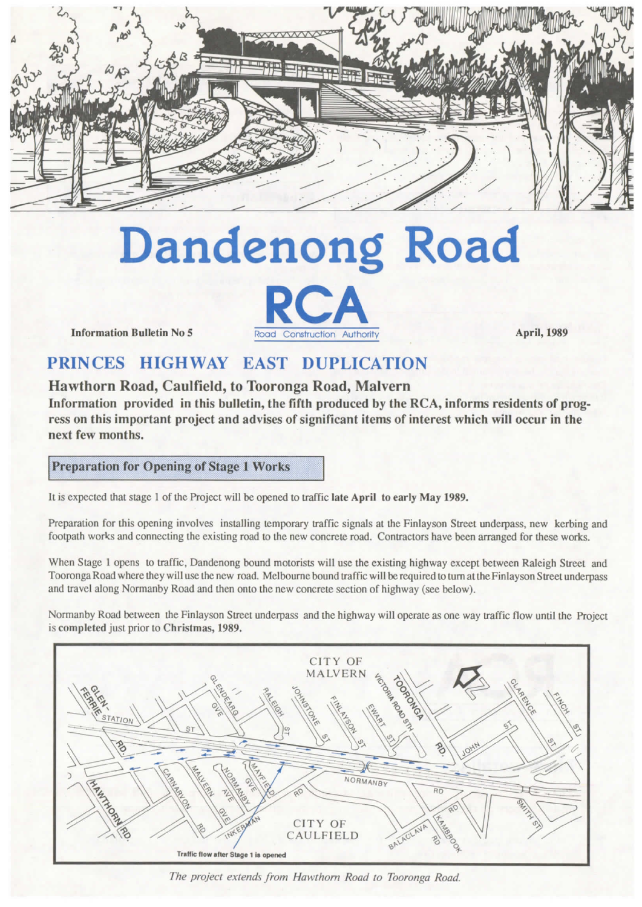

# **Dandenong Road**



Information Bulletin No 5

# **PRINCES HIGHWAY EAST DUPLICATION**

### **Hawthorn Road, Caulfield, to Tooronga Road, Malvern**

**Information provided in this bulletin, the fifth produced by the RCA, informs residents of prog ress on this important project and advises of significant items of interest which will occur in the next few months.**

**Preparation for Opening of Stage I Works**

It is expected that stage 1 of the Project will be opened to traffic late April to early May 1989.

Preparation for this opening involves installing temporary traffic signals at the Finlayson Street underpass, new kerbing and footpath works and connecting the existing road to the new concrete road. Contractors have been arranged for these works.

When Stage <sup>1</sup> opens to traffic, Dandenong bound motorists will use the existing highway except between Raleigh Street and Tooronga Road where they will use the new road. Melbourne bound traffic will be required to turn at the Finlayson Street underpass and travel along Normanby Road and then onto the new concrete section of highway (see below).

Normanby Road between the Finlayson Street underpass and the highway will operate as one way traffic flow until the Project is completed just prior to Christmas, 1989.



*The project extends from Hawthorn Road to Tooronga Road*